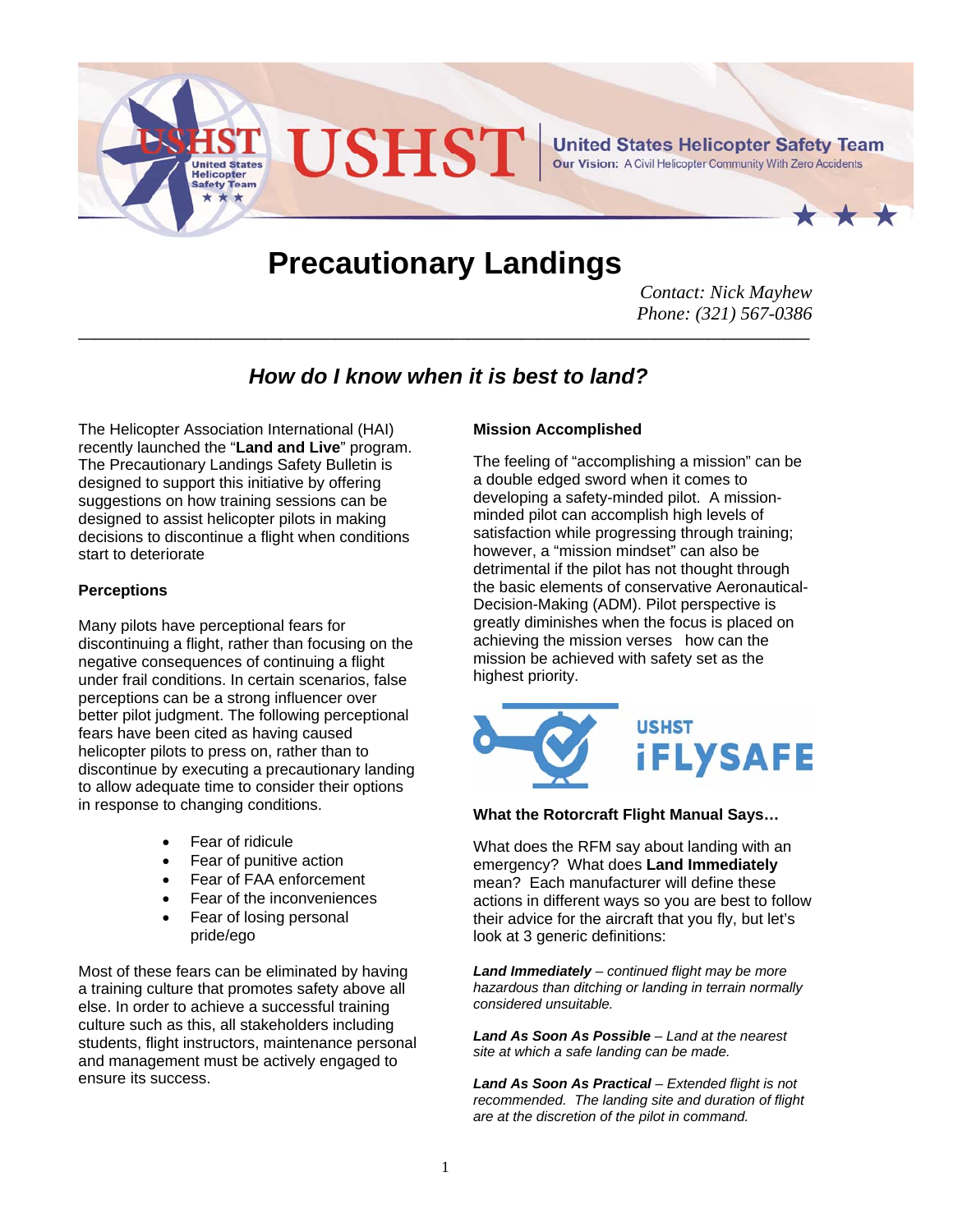

# **Precautionary Landings**

*Contact: Nick Mayhew Phone: (321) 567-0386* 

# *How do I know when it is best to land?*

**\_\_\_\_\_\_\_\_\_\_\_\_\_\_\_\_\_\_\_\_\_\_\_\_\_\_\_\_\_\_\_\_\_\_\_\_\_\_\_\_\_\_\_\_\_\_\_\_\_\_\_\_\_\_\_\_\_\_\_\_\_\_\_\_\_\_\_\_\_\_\_\_\_\_\_\_\_\_\_\_\_\_\_\_\_\_\_\_\_\_\_\_\_\_**

The Helicopter Association International (HAI) recently launched the "**Land and Live**" program. The Precautionary Landings Safety Bulletin is designed to support this initiative by offering suggestions on how training sessions can be designed to assist helicopter pilots in making decisions to discontinue a flight when conditions start to deteriorate

#### **Perceptions**

Many pilots have perceptional fears for discontinuing a flight, rather than focusing on the negative consequences of continuing a flight under frail conditions. In certain scenarios, false perceptions can be a strong influencer over better pilot judgment. The following perceptional fears have been cited as having caused helicopter pilots to press on, rather than to discontinue by executing a precautionary landing to allow adequate time to consider their options in response to changing conditions.

- Fear of ridicule
- Fear of punitive action
- Fear of FAA enforcement
- Fear of the inconveniences
- Fear of losing personal pride/ego

Most of these fears can be eliminated by having a training culture that promotes safety above all else. In order to achieve a successful training culture such as this, all stakeholders including students, flight instructors, maintenance personal and management must be actively engaged to ensure its success.

#### **Mission Accomplished**

The feeling of "accomplishing a mission" can be a double edged sword when it comes to developing a safety-minded pilot. A missionminded pilot can accomplish high levels of satisfaction while progressing through training; however, a "mission mindset" can also be detrimental if the pilot has not thought through the basic elements of conservative Aeronautical-Decision-Making (ADM). Pilot perspective is greatly diminishes when the focus is placed on achieving the mission verses how can the mission be achieved with safety set as the highest priority.



#### **What the Rotorcraft Flight Manual Says…**

What does the RFM say about landing with an emergency? What does **Land Immediately**  mean? Each manufacturer will define these actions in different ways so you are best to follow their advice for the aircraft that you fly, but let's look at 3 generic definitions:

*Land Immediately – continued flight may be more hazardous than ditching or landing in terrain normally considered unsuitable.* 

*Land As Soon As Possible – Land at the nearest site at which a safe landing can be made.* 

*Land As Soon As Practical – Extended flight is not recommended. The landing site and duration of flight are at the discretion of the pilot in command.*